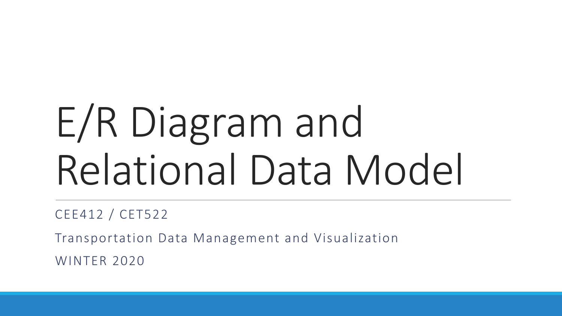# E/R Diagram and Relational Data Model

CEE412 / CET522

Transportation Data Management and Visualization

WINTER 2020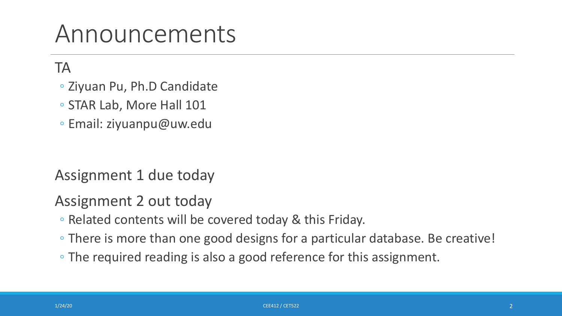### Announcements

TA

- Ziyuan Pu, Ph.D Candidate
- STAR Lab, More Hall 101
- Email: ziyuanpu@uw.edu

Assignment 1 due today

Assignment 2 out today

- Related contents will be covered today & this Friday.
- There is more than one good designs for a particular database. Be creative!
- The required reading is also a good reference for this assignment.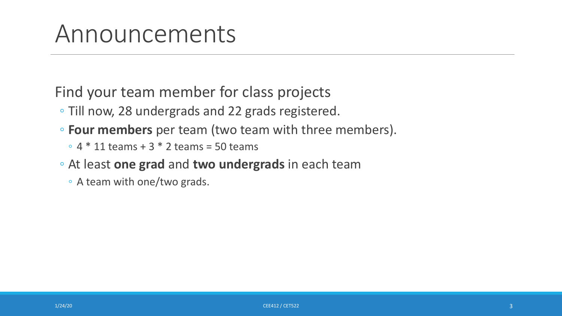### Announcements

Find your team member for class projects

- Till now, 28 undergrads and 22 grads registered.
- **Four members** per team (two team with three members).
	- $\degree$  4  $*$  11 teams + 3  $*$  2 teams = 50 teams
- At least **one grad** and **two undergrads** in each team
	- A team with one/two grads.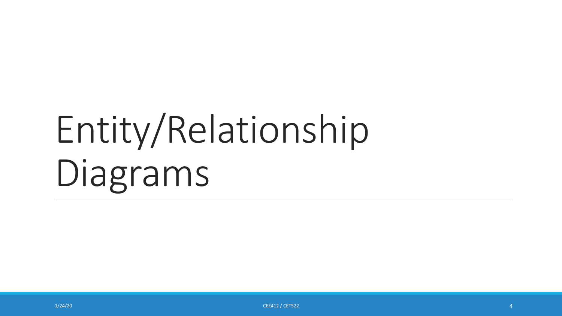# Entity/Relationship Diagrams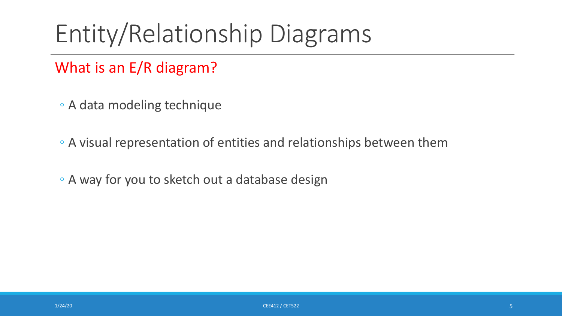### Entity/Relationship Diagrams

#### What is an E/R diagram?

- A data modeling technique
- A visual representation of entities and relationships between them
- A way for you to sketch out a database design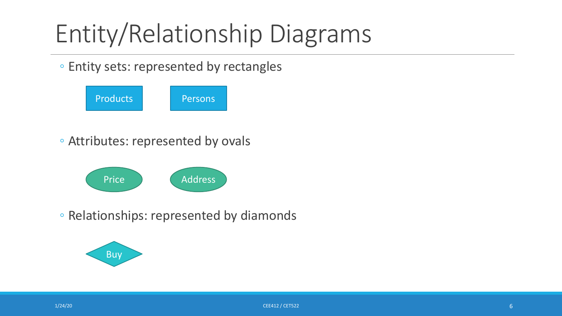### Entity/Relationship Diagrams

#### ◦ Entity sets: represented by rectangles

| <b>Products</b> | Persons |
|-----------------|---------|
|-----------------|---------|

◦ Attributes: represented by ovals



◦ Relationships: represented by diamonds

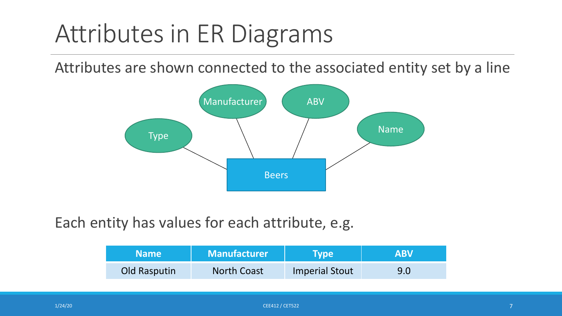### Attributes in ER Diagrams

Attributes are shown connected to the associated entity set by a line



Each entity has values for each attribute, e.g.

| <b>Name</b>  | <b>Manufacturer</b> | Tvpe                  | <b>ABV</b> |
|--------------|---------------------|-----------------------|------------|
| Old Rasputin | <b>North Coast</b>  | <b>Imperial Stout</b> | 9.0        |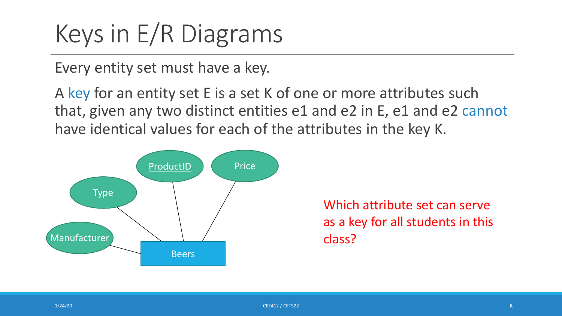### Keys in E/R Diagrams

Every entity set must have a key.

A key for an entity set E is a set K of one or more attributes such that, given any two distinct entities e1 and e2 in E, e1 and e2 cannot have identical values for each of the attributes in the key K.



Which attribute set can serve as a key for all students in this class?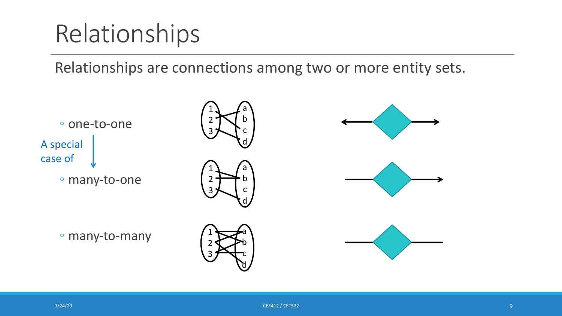### Relationships

Relationships are connections among two or more entity sets.

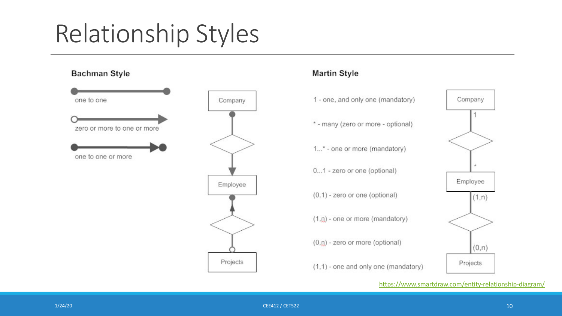# Relationship Styles

Company

Employee

Projects

#### **Bachman Style**



#### **Martin Style**

- 1 one, and on
	- \* many (zero
	- $1...$ \* one or m
	- $0...1$  zero or  $c$
	- $(0,1)$  zero or  $($
	- $(1,0)$  one or n
	- $(0, 0)$  zero or r
	- $(1,1)$  one and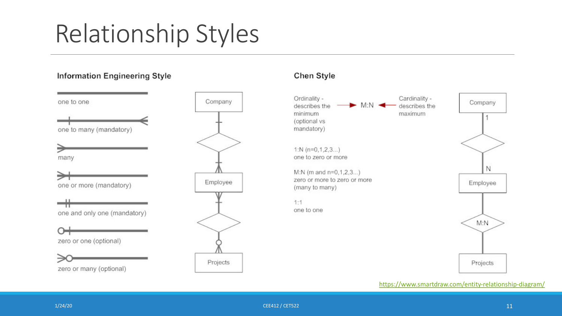# Relationship Styles

#### **Information Engineering Style**

one to one

one to many (mandatory)



∍ one or more (mandatory)

one and only one (mandatory)

⊶ zero or one (optional)

zero or many (optional)



#### Chen Style

Ordinality describes the minimum (optional vs mandatory)

1:N  $(n=0,1,2,3...)$ one to zero or more

M:N (m and n=0,1,2,3... zero or more to zero or (many to many)

 $1:1$ one to one

≫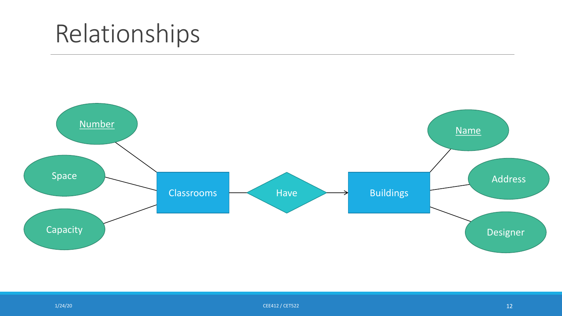### Relationships

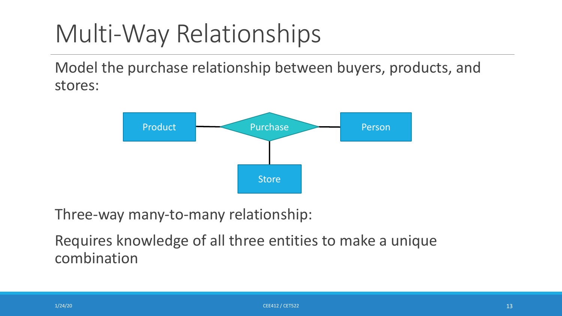### Multi-Way Relationships

Model the purchase relationship between buyers, products, and stores:



Three-way many-to-many relationship:

Requires knowledge of all three entities to make a unique combination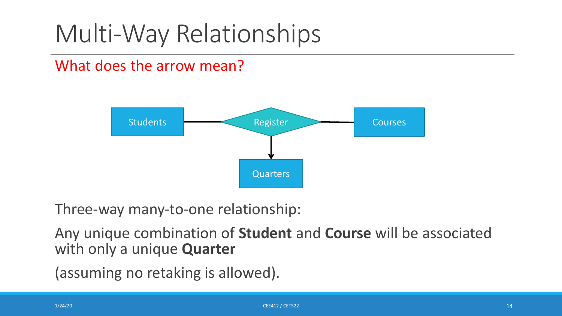### Multi-Way Relationships

#### What does the arrow mean?



Three-way many-to-one relationship:

Any unique combination of **Student** and **Course** will be associated with only a unique **Quarter**

(assuming no retaking is allowed).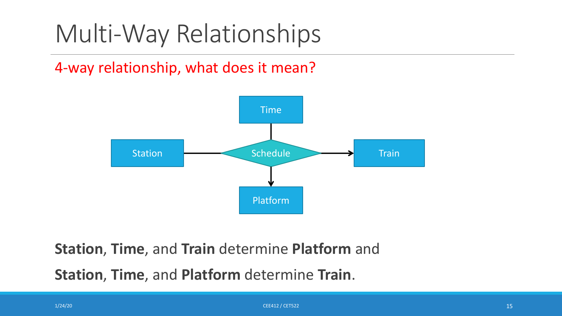### Multi-Way Relationships

#### 4-way relationship, what does it mean?



**Station**, **Time**, and **Train** determine **Platform** and

**Station**, **Time**, and **Platform** determine **Train**.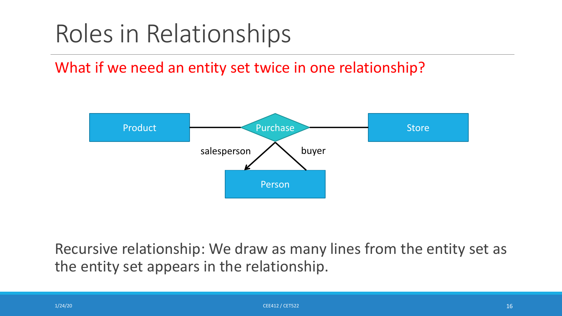### Roles in Relationships

What if we need an entity set twice in one relationship?



Recursive relationship: We draw as many lines from the entity set as the entity set appears in the relationship.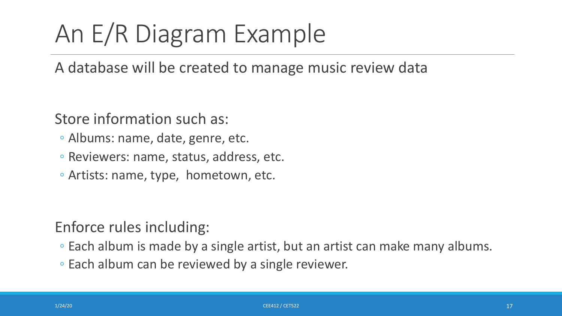# An E/R Diagram Example

A database will be created to manage music review data

Store information such as:

- Albums: name, date, genre, etc.
- Reviewers: name, status, address, etc.
- Artists: name, type, hometown, etc.

Enforce rules including:

- Each album is made by a single artist, but an artist can make many albums.
- Each album can be reviewed by a single reviewer.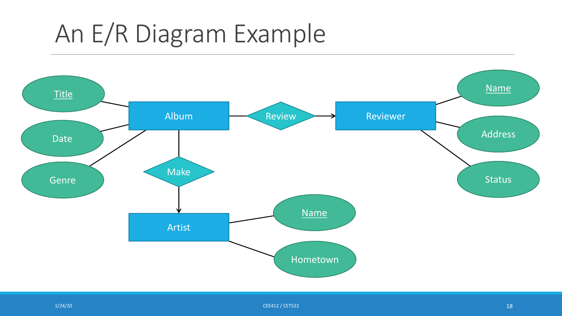### An E/R Diagram Example



 $1/24/20$  certain  $1/8$  certain  $1/8$  certain  $1/8$  certain  $1/8$  certain  $1/8$  certain  $1/8$  certain  $1/8$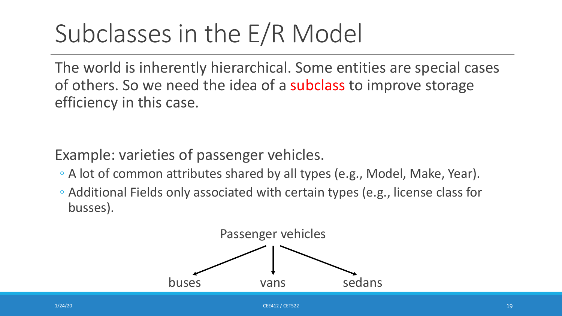The world is inherently hierarchical. Some entities are special cases of others. So we need the idea of a subclass to improve storage efficiency in this case.

Example: varieties of passenger vehicles.

- A lot of common attributes shared by all types (e.g., Model, Make, Year).
- Additional Fields only associated with certain types (e.g., license class for busses).

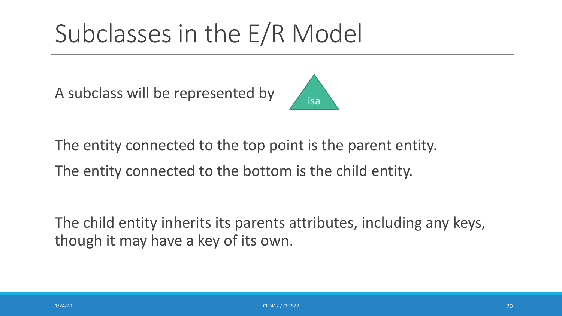A subclass will be represented by



The entity connected to the top point is the parent entity.

The entity connected to the bottom is the child entity.

The child entity inherits its parents attributes, including any keys, though it may have a key of its own.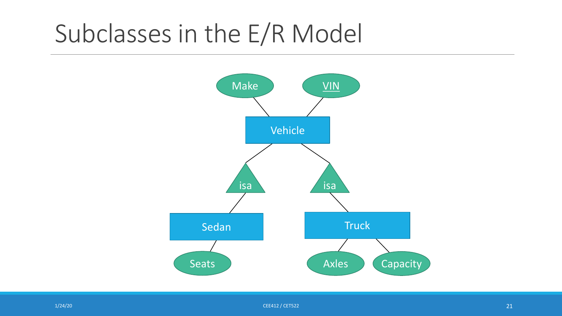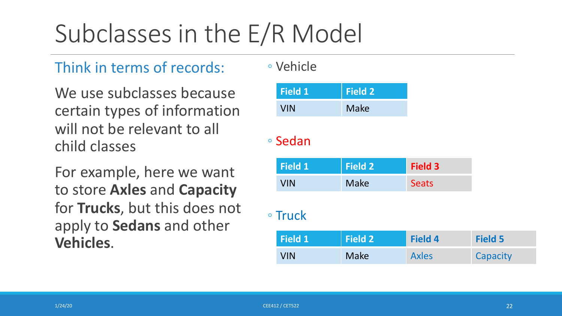#### Think in terms of records:

We use subclasses because certain types of information will not be relevant to all child classes

For example, here we want to store **Axles** and **Capacity** for **Trucks**, but this does not apply to **Sedans** and other **Vehicles**.

◦ Vehicle

| <b>Field 1</b> | $\blacksquare$ Field 2 $\blacksquare$ |
|----------------|---------------------------------------|
| <b>VIN</b>     | <b>Make</b>                           |

#### ◦ Sedan

| Field 1 | $\mid$ Field 2 $\mid$ | Field 3      |
|---------|-----------------------|--------------|
| VIN     | Make                  | <b>Seats</b> |

#### ◦ Truck

| Field 1    | <b>Field 2</b> | <b>Field 4</b> | <b>Field 5</b> |
|------------|----------------|----------------|----------------|
| <b>VIN</b> | Make           | <b>Axles</b>   | Capacity       |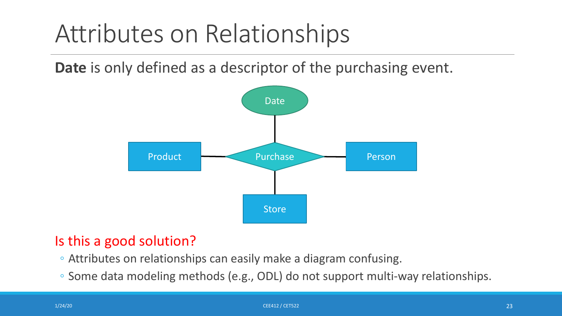**Date** is only defined as a descriptor of the purchasing event.



#### Is this a good solution?

- Attributes on relationships can easily make a diagram confusing.
- Some data modeling methods (e.g., ODL) do not support multi-way relationships.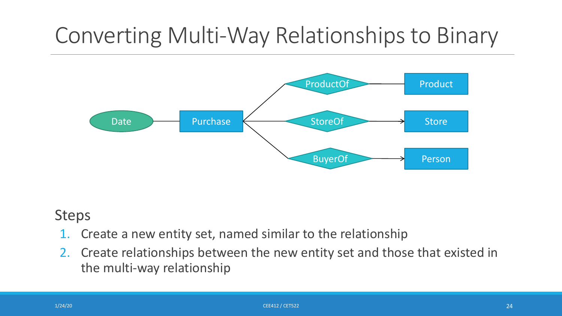### Converting Multi-Way Relationships to Binary



#### Steps

- 1. Create a new entity set, named similar to the relationship
- 2. Create relationships between the new entity set and those that existed in the multi-way relationship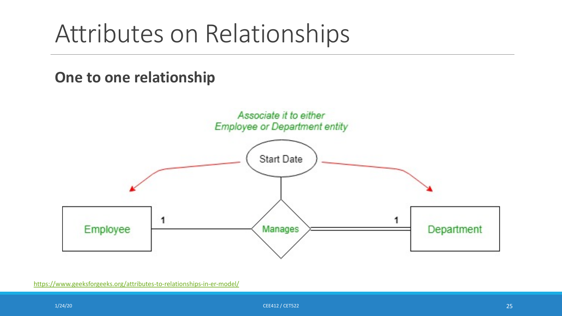### **One to one relationship**

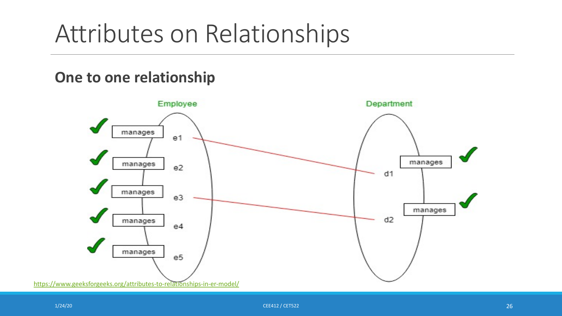### **One to one relationship**



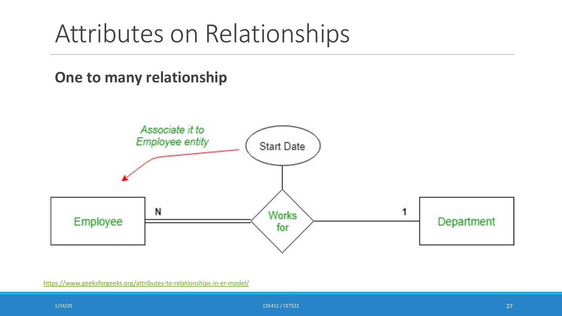### **One to many relationship**

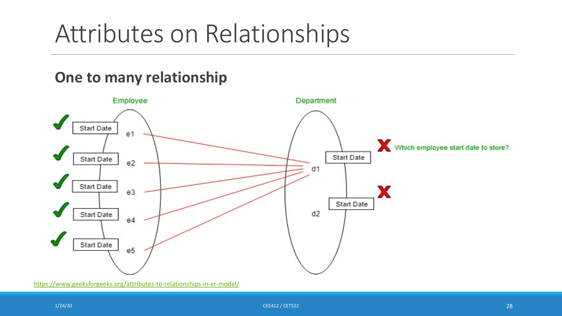### **One to many relationship**

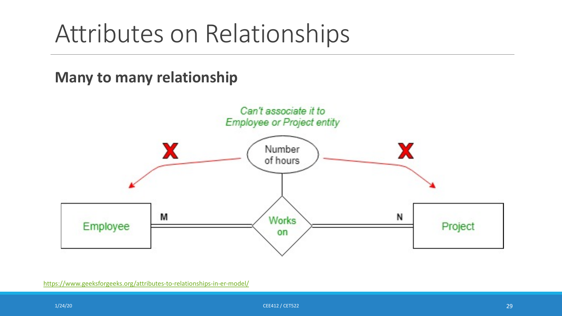### **Many to many relationship**

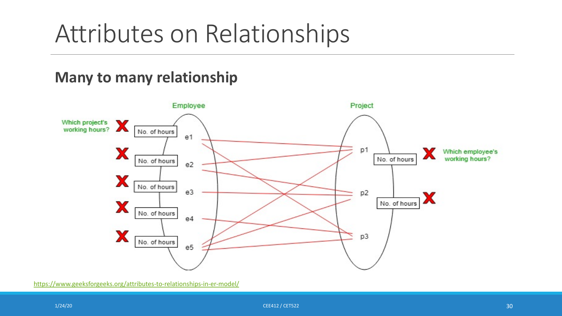### **Many to many relationship**

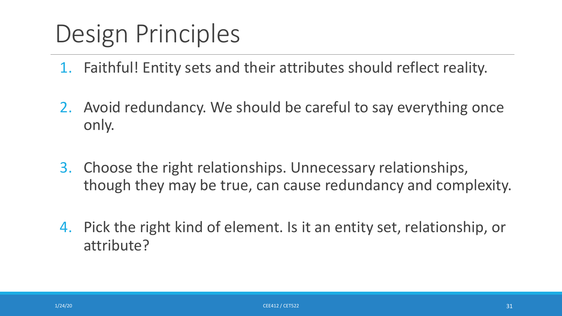### Design Principles

- 1. Faithful! Entity sets and their attributes should reflect reality.
- 2. Avoid redundancy. We should be careful to say everything once only.
- 3. Choose the right relationships. Unnecessary relationships, though they may be true, can cause redundancy and complexity.
- 4. Pick the right kind of element. Is it an entity set, relationship, or attribute?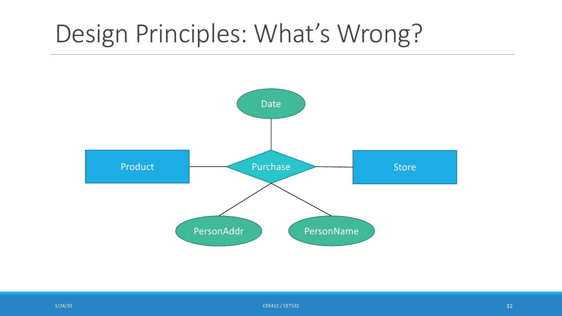### Design Principles: What's Wrong?



 $1/24/20$  . The contract of the contract of the contract of the contract of the contract of the contract of the contract of the contract of the contract of the contract of the contract of the contract of the contract of t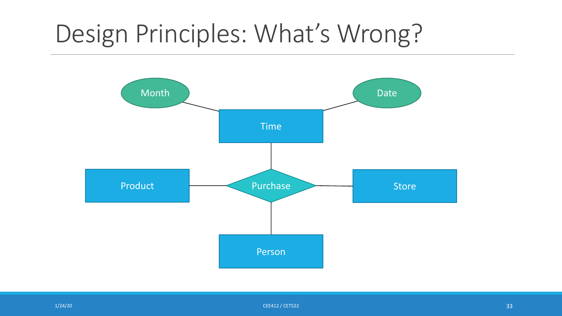### Design Principles: What's Wrong?



 $1/24/20$  . The contract of the contract of the contract of the contract of the contract of the contract of the contract of the contract of the contract of the contract of the contract of the contract of the contract of t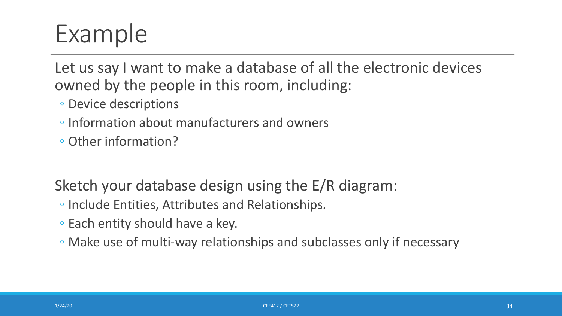### Example

Let us say I want to make a database of all the electronic devices owned by the people in this room, including:

- Device descriptions
- Information about manufacturers and owners
- Other information?

Sketch your database design using the E/R diagram:

- Include Entities, Attributes and Relationships.
- Each entity should have a key.
- Make use of multi-way relationships and subclasses only if necessary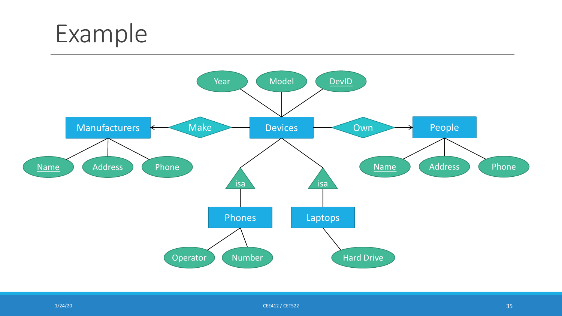



 $1/24/20$  . The contract of the contract of the contract of the CEE412 / CET522  $\sim$  25  $\sim$  35  $\sim$  35  $\sim$  35  $\sim$  35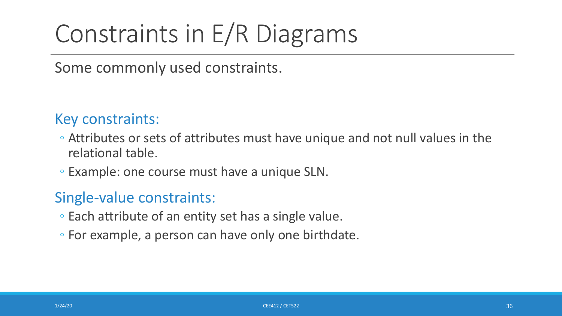### Constraints in E/R Diagrams

Some commonly used constraints.

#### Key constraints:

- Attributes or sets of attributes must have unique and not null values in the relational table.
- Example: one course must have a unique SLN.

#### Single-value constraints:

- Each attribute of an entity set has a single value.
- For example, a person can have only one birthdate.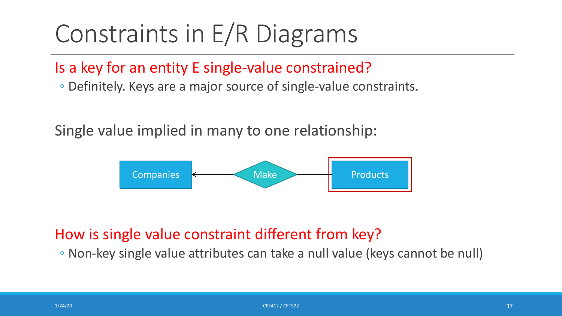# Constraints in E/R Diagrams

#### Is a key for an entity E single-value constrained?

◦ Definitely. Keys are a major source of single-value constraints.

Single value implied in many to one relationship:



#### How is single value constraint different from key?

◦ Non-key single value attributes can take a null value (keys cannot be null)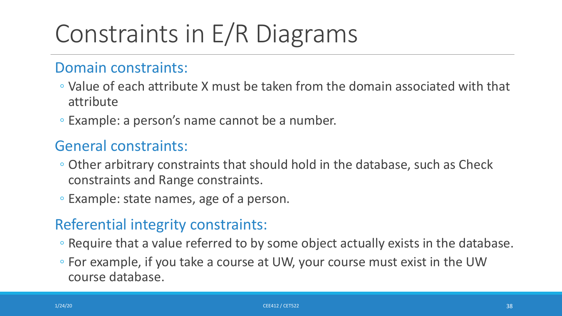# Constraints in E/R Diagrams

#### Domain constraints:

- Value of each attribute X must be taken from the domain associated with that attribute
- Example: a person's name cannot be a number.

#### General constraints:

- Other arbitrary constraints that should hold in the database, such as Check constraints and Range constraints.
- Example: state names, age of a person.

#### Referential integrity constraints:

- Require that a value referred to by some object actually exists in the database.
- For example, if you take a course at UW, your course must exist in the UW course database.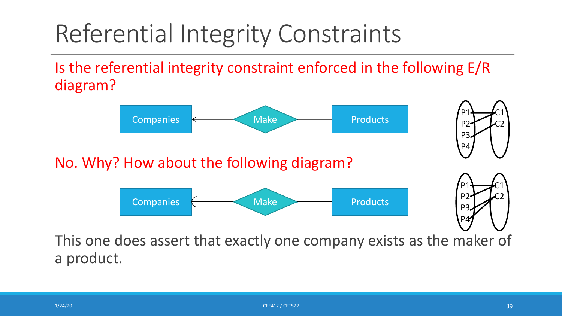# Referential Integrity Constraints

Is the referential integrity constraint enforced in the following E/R diagram?



This one does assert that exactly one company exists as the maker of a product.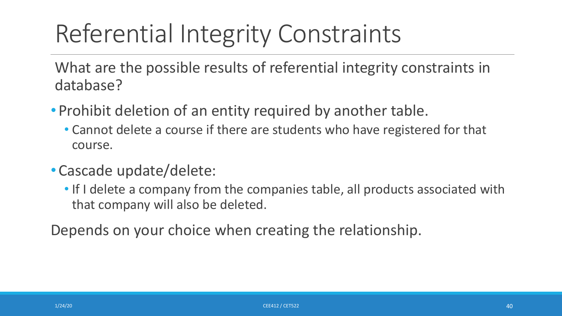# Referential Integrity Constraints

What are the possible results of referential integrity constraints in database?

- Prohibit deletion of an entity required by another table.
	- Cannot delete a course if there are students who have registered for that course.
- •Cascade update/delete:
	- If I delete a company from the companies table, all products associated with that company will also be deleted.

Depends on your choice when creating the relationship.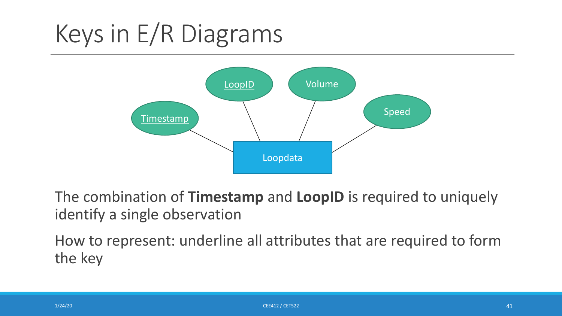# Keys in E/R Diagrams



The combination of **Timestamp** and **LoopID** is required to uniquely identify a single observation

How to represent: underline all attributes that are required to form the key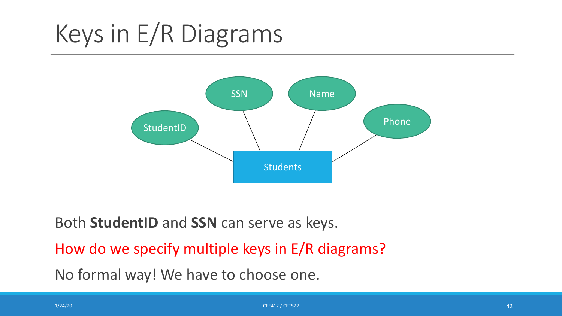# Keys in E/R Diagrams



Both **StudentID** and **SSN** can serve as keys. How do we specify multiple keys in E/R diagrams? No formal way! We have to choose one.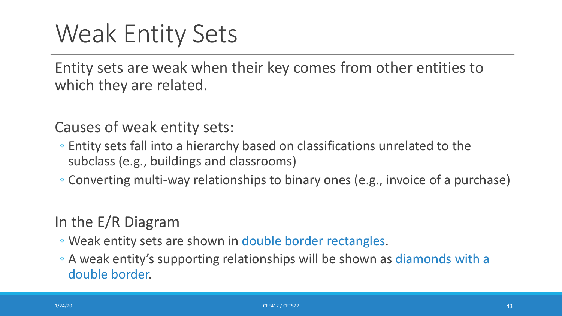Entity sets are weak when their key comes from other entities to which they are related.

Causes of weak entity sets:

- Entity sets fall into a hierarchy based on classifications unrelated to the subclass (e.g., buildings and classrooms)
- Converting multi-way relationships to binary ones (e.g., invoice of a purchase)

In the E/R Diagram

- Weak entity sets are shown in double border rectangles.
- A weak entity's supporting relationships will be shown as diamonds with a double border.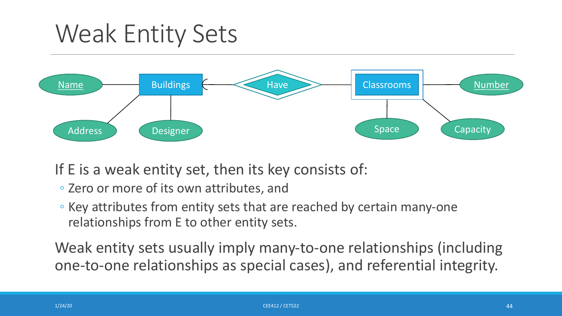

If E is a weak entity set, then its key consists of:

- Zero or more of its own attributes, and
- Key attributes from entity sets that are reached by certain many-one relationships from E to other entity sets.

Weak entity sets usually imply many-to-one relationships (including one-to-one relationships as special cases), and referential integrity.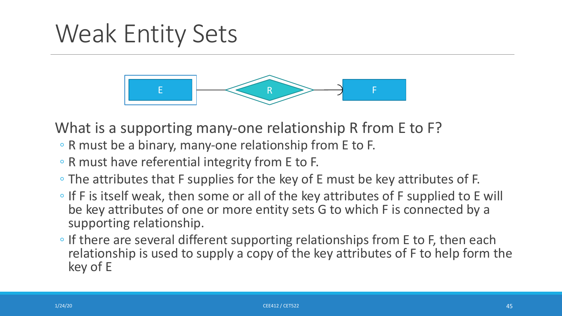

What is a supporting many-one relationship R from E to F?

- R must be a binary, many-one relationship from E to F.
- R must have referential integrity from E to F.
- The attributes that F supplies for the key of E must be key attributes of F.
- If F is itself weak, then some or all of the key attributes of F supplied to E will be key attributes of one or more entity sets G to which F is connected by a supporting relationship.
- If there are several different supporting relationships from E to F, then each relationship is used to supply a copy of the key attributes of F to help form the key of E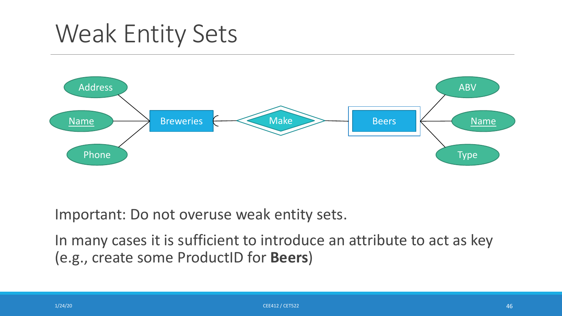

Important: Do not overuse weak entity sets.

In many cases it is sufficient to introduce an attribute to act as key (e.g., create some ProductID for **Beers**)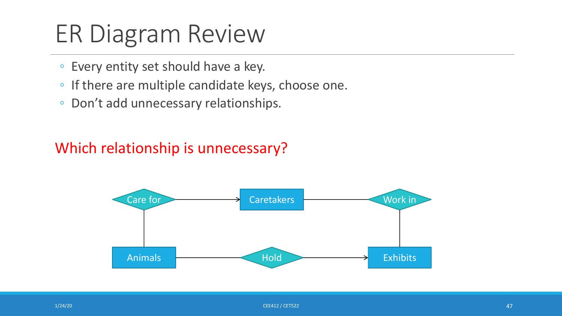# ER Diagram Review

- Every entity set should have a key.
- If there are multiple candidate keys, choose one.
- Don't add unnecessary relationships.

#### Which relationship is unnecessary?

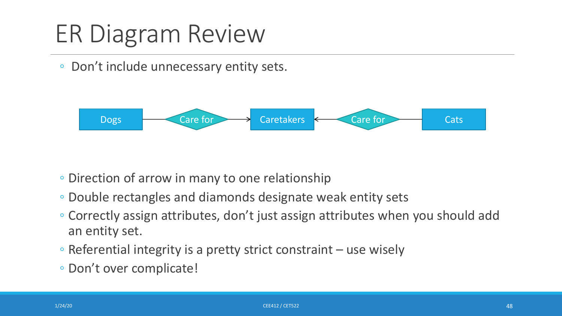# ER Diagram Review

#### ◦ Don't include unnecessary entity sets.



- Direction of arrow in many to one relationship
- Double rectangles and diamonds designate weak entity sets
- Correctly assign attributes, don't just assign attributes when you should add an entity set.
- Referential integrity is a pretty strict constraint use wisely
- Don't over complicate!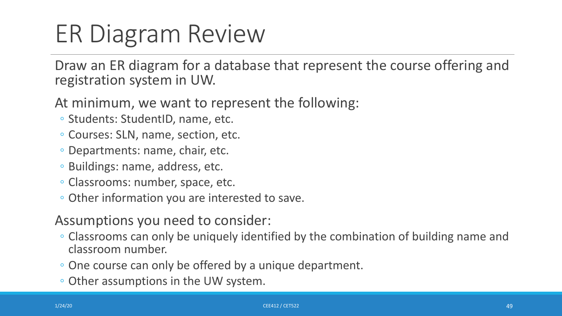# ER Diagram Review

Draw an ER diagram for a database that represent the course offering and registration system in UW.

- At minimum, we want to represent the following:
- Students: StudentID, name, etc.
- Courses: SLN, name, section, etc.
- Departments: name, chair, etc.
- Buildings: name, address, etc.
- Classrooms: number, space, etc.
- Other information you are interested to save.
- Assumptions you need to consider:
- Classrooms can only be uniquely identified by the combination of building name and classroom number.
- One course can only be offered by a unique department.
- Other assumptions in the UW system.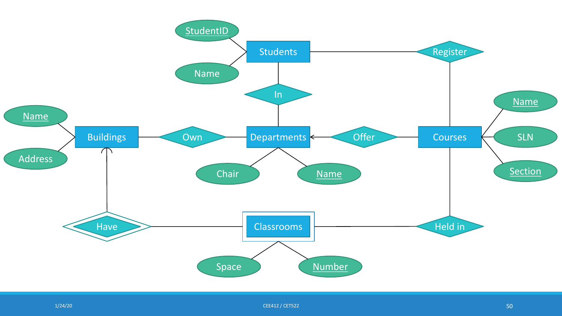

 $1/24/20$  . The contract of the contract of the contract of the contract of the contract of the contract of the contract of the contract of the contract of the contract of the contract of the contract of the contract of t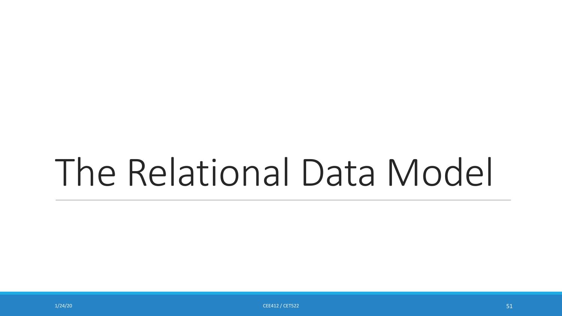# The Relational Data Model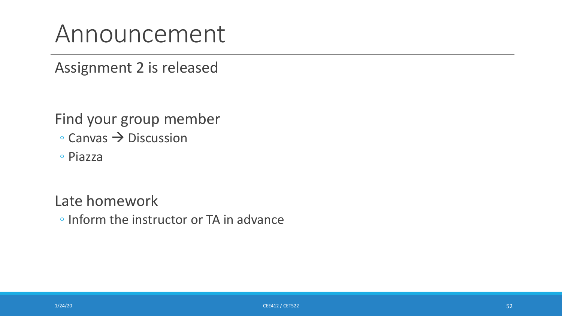### Announcement

Assignment 2 is released

Find your group member

- $\circ$  Canvas  $\rightarrow$  Discussion
- Piazza

Late homework

◦ Inform the instructor or TA in advance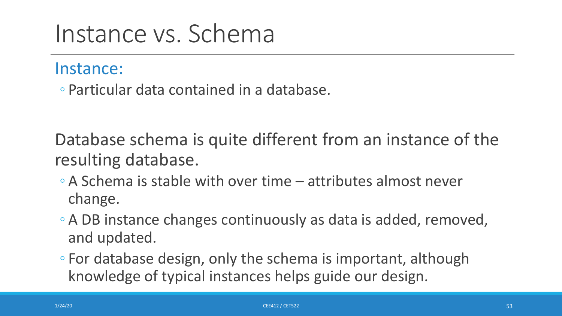### Instance vs. Schema

#### Instance:

◦ Particular data contained in a database.

Database schema is quite different from an instance of the resulting database.

- A Schema is stable with over time attributes almost never change.
- A DB instance changes continuously as data is added, removed, and updated.
- For database design, only the schema is important, although knowledge of typical instances helps guide our design.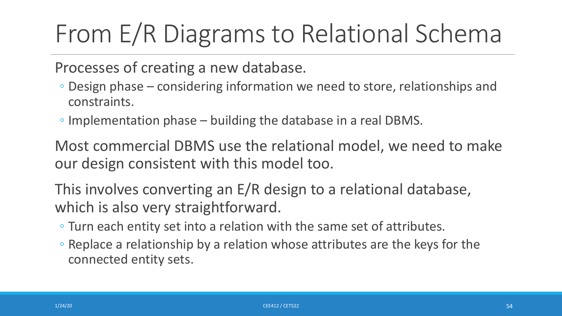# From E/R Diagrams to Relational Schema

Processes of creating a new database.

- Design phase considering information we need to store, relationships and constraints.
- Implementation phase building the database in a real DBMS.

Most commercial DBMS use the relational model, we need to make our design consistent with this model too.

This involves converting an E/R design to a relational database, which is also very straightforward.

- Turn each entity set into a relation with the same set of attributes.
- Replace a relationship by a relation whose attributes are the keys for the connected entity sets.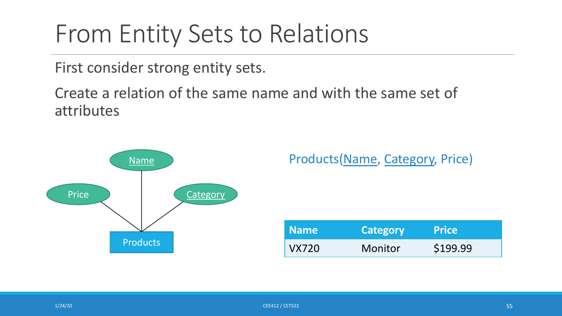### From Entity Sets to Relations

First consider strong entity sets.

Create a relation of the same name and with the same set of attributes

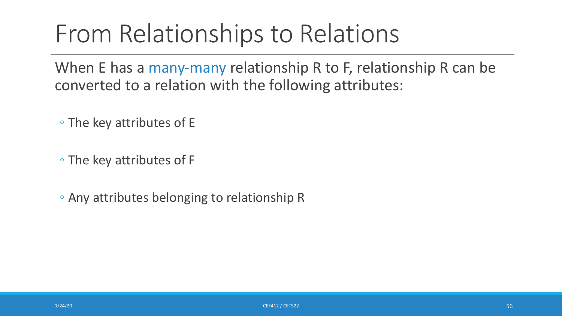When E has a many-many relationship R to F, relationship R can be converted to a relation with the following attributes:

◦ The key attributes of E

◦ The key attributes of F

◦ Any attributes belonging to relationship R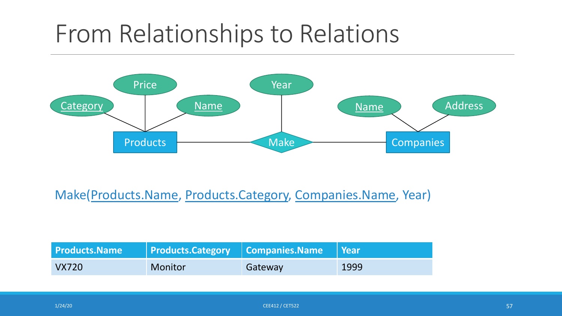

#### Make(Products.Name, Products.Category, Companies.Name, Year)

| <b>Products.Name</b> | $\vert$ Products. Category $\vert$ Companies. Name $\vert$ Year |         |      |
|----------------------|-----------------------------------------------------------------|---------|------|
| VX720                | Monitor                                                         | Gateway | 1999 |

 $1/24/20$  . The contract of the contract of the contract of the contract of the contract of the contract of the contract of the contract of the contract of the contract of the contract of the contract of the contract of t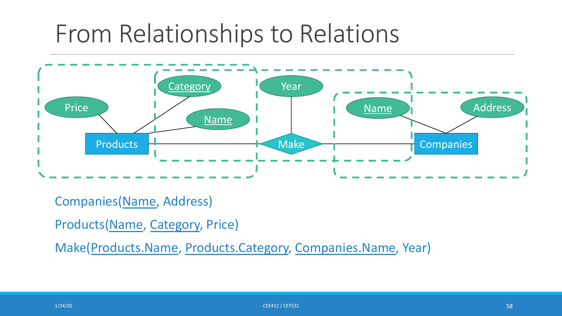

Companies(Name, Address)

Products(Name, Category, Price)

Make(Products.Name, Products.Category, Companies.Name, Year)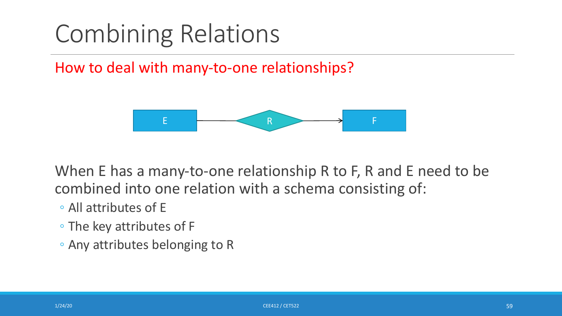How to deal with many-to-one relationships?



When E has a many-to-one relationship R to F, R and E need to be combined into one relation with a schema consisting of:

- All attributes of E
- The key attributes of F
- Any attributes belonging to R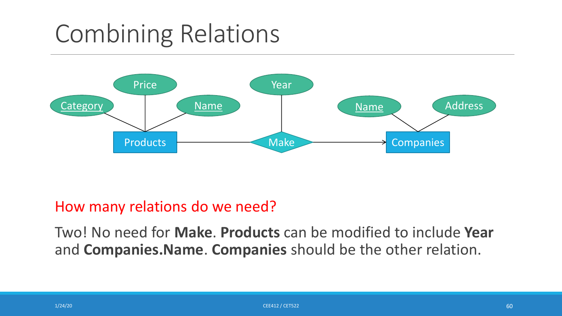

#### How many relations do we need?

Two! No need for **Make**. **Products** can be modified to include **Year**  and **Companies.Name**. **Companies** should be the other relation.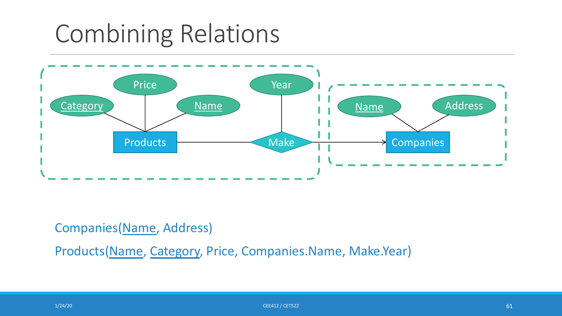

#### Companies(Name, Address)

Products(Name, Category, Price, Companies.Name, Make.Year)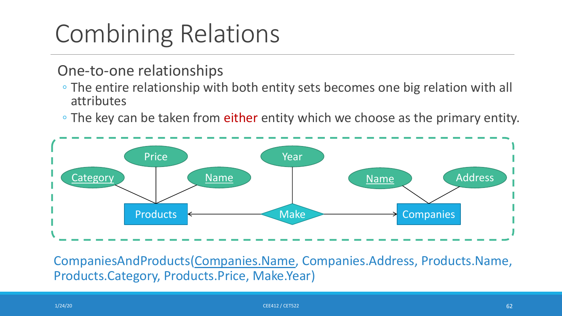#### One-to-one relationships

- The entire relationship with both entity sets becomes one big relation with all attributes
- The key can be taken from either entity which we choose as the primary entity.



CompaniesAndProducts(Companies.Name, Companies.Address, Products.Name, Products.Category, Products.Price, Make.Year)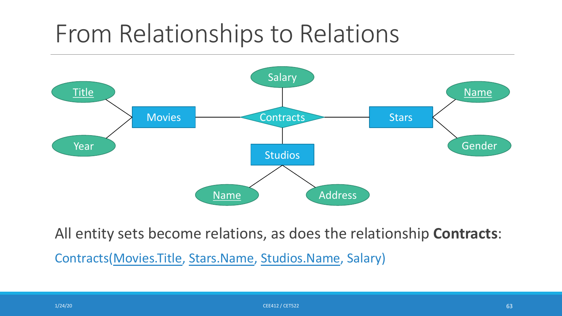

All entity sets become relations, as does the relationship **Contracts**:

Contracts(Movies.Title, Stars.Name, Studios.Name, Salary)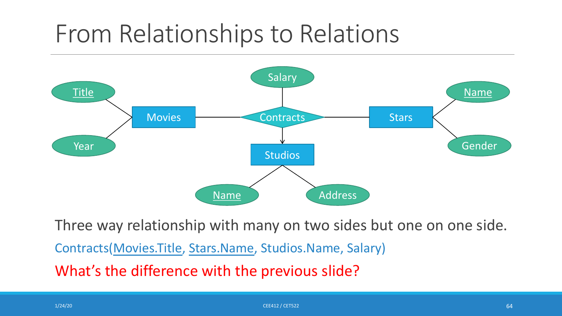

Three way relationship with many on two sides but one on one side.

Contracts(Movies.Title, Stars.Name, Studios.Name, Salary)

What's the difference with the previous slide?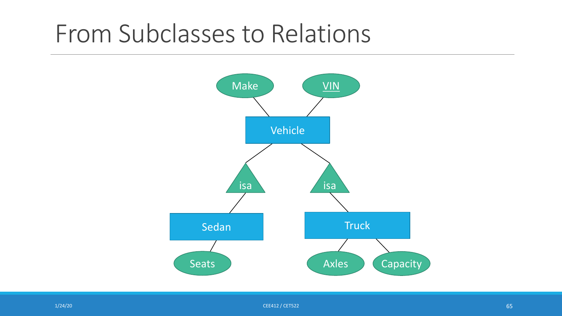### From Subclasses to Relations

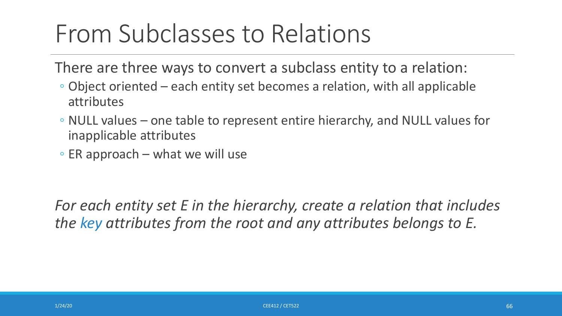## From Subclasses to Relations

There are three ways to convert a subclass entity to a relation:

- Object oriented each entity set becomes a relation, with all applicable attributes
- NULL values one table to represent entire hierarchy, and NULL values for inapplicable attributes
- ER approach what we will use

*For each entity set E in the hierarchy, create a relation that includes the key attributes from the root and any attributes belongs to E.*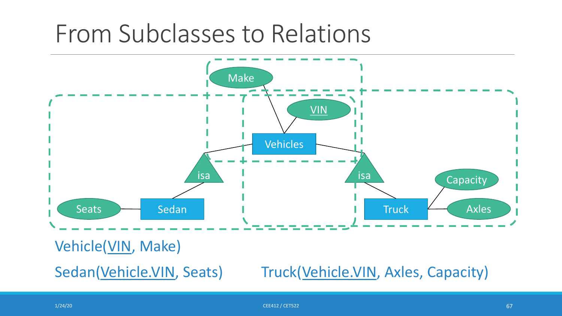### From Subclasses to Relations



Vehicle(VIN, Make)

Sedan(Vehicle.VIN, Seats) Truck(Vehicle.VIN, Axles, Capacity)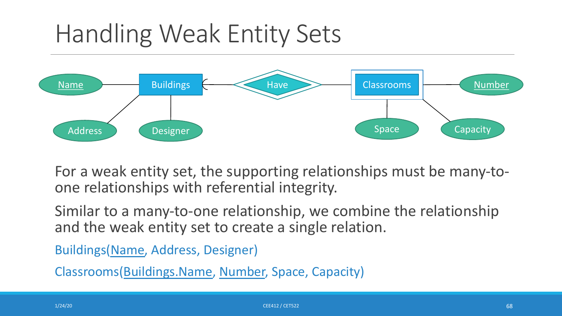# Handling Weak Entity Sets



For a weak entity set, the supporting relationships must be many-to-<br>one relationships with referential integrity.

Similar to a many-to-one relationship, we combine the relationship and the weak entity set to create a single relation.

Buildings(Name, Address, Designer)

Classrooms(Buildings.Name, Number, Space, Capacity)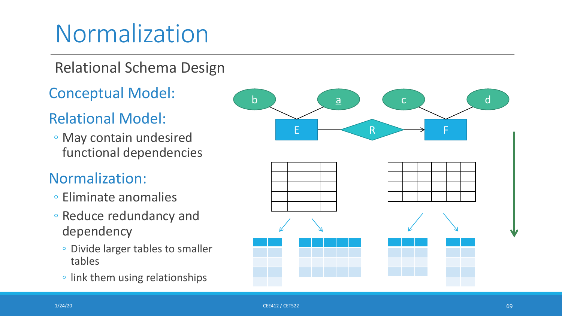# Normalization

### Relational Schema Design

Conceptual Model :

### Relational Model:

◦ May contain undesired functional dependencies

#### Normalization:

- Eliminate anomalies
- Reduce redundancy and dependency
	- Divide larger tables to smaller tables
	- link them using relationships

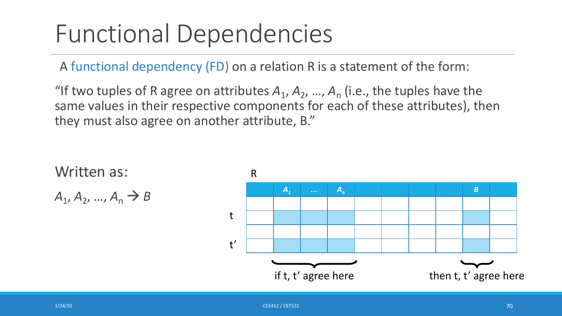# Functional Dependencies

A functional dependency (FD) on a relation R is a statement of the form:

"If two tuples of R agree on attributes  $A_1$ ,  $A_2$ , ...,  $A_n$  (i.e., the tuples have the same values in their respective components for each of these attributes), then they must also agree on another attribute, B."

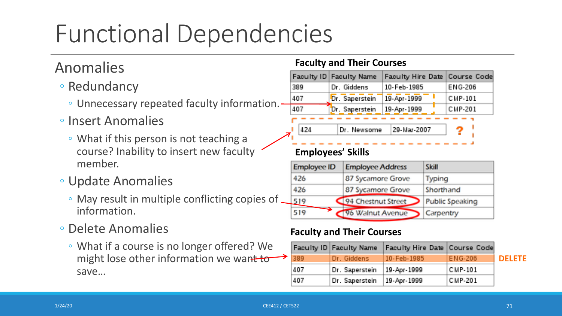# Functional Dependencies

#### Anomalies

- Redundancy
	- Unnecessary repeated faculty information.
- Insert Anomalies
	- What if this person is not teaching a course? Inability to insert new faculty member.
- Update Anomalies
	- May result in multiple conflicting copies of information.
- Delete Anomalies
	- What if a course is no longer offered? We might lose other information we want to save…

#### **Faculty and Their Courses**

|     | Faculty ID Faculty Name | Faculty Hire Date Course Code |                |  |
|-----|-------------------------|-------------------------------|----------------|--|
| 389 | Dr. Giddens             | 10-Feb-1985                   | ENG-206        |  |
| 407 | Dr. Saperstein          | 19-Apr-1999                   | <b>CMP-101</b> |  |
| 407 | Dr. Saperstein          | 19-Apr-1999                   | <b>CMP-201</b> |  |
|     |                         |                               |                |  |
| 424 | Dr. Newsome             | 29-Mar-2007                   |                |  |
|     |                         |                               |                |  |

#### **Employees' Skills**

| <b>Employee ID</b><br><b>Employee Address</b> |                    | <b>Skill</b>           |  |
|-----------------------------------------------|--------------------|------------------------|--|
| 426                                           | 87 Sycamore Grove  | Typing                 |  |
| 426                                           | 87 Sycamore Grove  | Shorthand              |  |
| 519                                           | 94 Chestnut Street | <b>Public Speaking</b> |  |
| 519                                           | 96 Walnut Avenue   | Carpentry              |  |

#### **Faculty and Their Courses**

|      | Faculty ID Faculty Name | Faculty Hire Date Course Code |                |               |
|------|-------------------------|-------------------------------|----------------|---------------|
| 1389 | Dr. Giddens             | 10-Feb-1985                   | ENG-206        | <b>DELETE</b> |
| 407  | Dr. Saperstein          | 19-Apr-1999                   | <b>CMP-101</b> |               |
| 407  | Dr. Saperstein          | 19-Apr-1999                   | CMP-201        |               |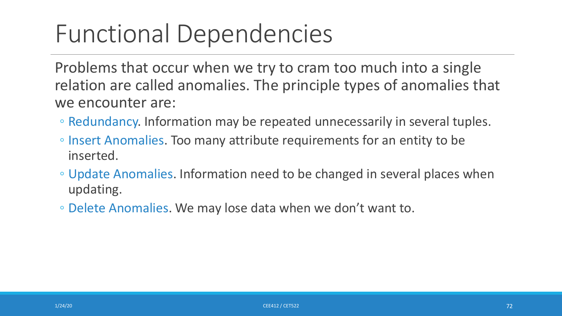# Functional Dependencies

Problems that occur when we try to cram too much into a single relation are called anomalies. The principle types of anomalies that we encounter are:

- Redundancy. Information may be repeated unnecessarily in several tuples.
- Insert Anomalies. Too many attribute requirements for an entity to be inserted.
- Update Anomalies. Information need to be changed in several places when updating.
- Delete Anomalies. We may lose data when we don't want to.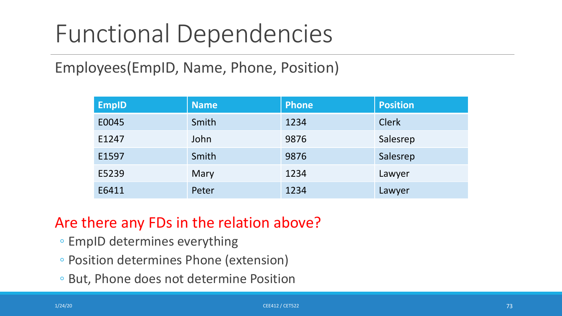## Functional Dependencies

Employees(EmpID, Name, Phone, Position)

| <b>EmpID</b> | <b>Name</b> | <b>Phone</b> | <b>Position</b> |
|--------------|-------------|--------------|-----------------|
| E0045        | Smith       | 1234         | <b>Clerk</b>    |
| E1247        | John        | 9876         | Salesrep        |
| E1597        | Smith       | 9876         | Salesrep        |
| E5239        | Mary        | 1234         | Lawyer          |
| E6411        | Peter       | 1234         | Lawyer          |

### Are there any FDs in the relation above?

- EmpID determines everything
- Position determines Phone (extension)
- But, Phone does not determine Position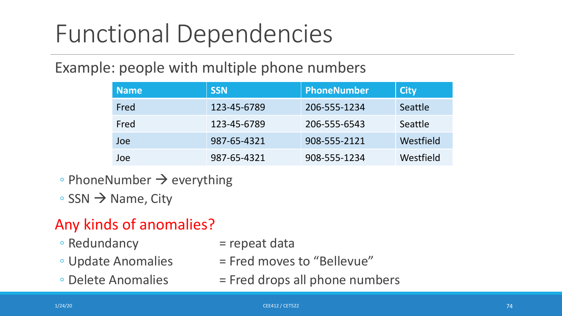## Functional Dependencies

#### Example: people with multiple phone numbers

| <b>Name</b> | <b>SSN</b>  | PhoneNumber  | <b>City</b> |
|-------------|-------------|--------------|-------------|
| Fred        | 123-45-6789 | 206-555-1234 | Seattle     |
| Fred        | 123-45-6789 | 206-555-6543 | Seattle     |
| Joe         | 987-65-4321 | 908-555-2121 | Westfield   |
| Joe         | 987-65-4321 | 908-555-1234 | Westfield   |

- PhoneNumber  $\rightarrow$  everything
- $\circ$  SSN  $\rightarrow$  Name, City

### Any kinds of anomalies?

- 
- $\circ$  Redundancy  $=$  repeat data
- 
- 
- $\circ$  Update Anomalies  $\qquad \qquad =$  Fred moves to "Bellevue"
- $\circ$  Delete Anomalies  $\qquad \qquad =$  Fred drops all phone numbers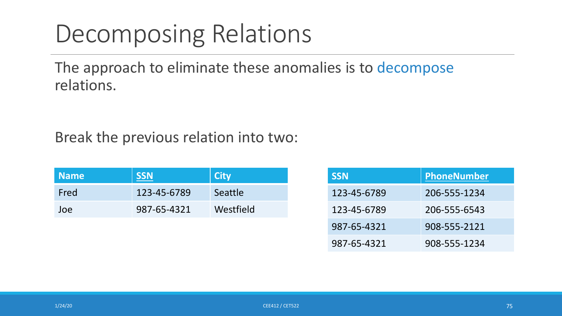### Decomposing Relations

The approach to eliminate these anomalies is to decompose relations.

#### Break the previous relation into two:

| <b>Name</b> | <b>SSN</b>  | <b>City</b> |
|-------------|-------------|-------------|
| Fred        | 123-45-6789 | Seattle     |
| Joe         | 987-65-4321 | Westfield   |

| <b>SSN</b>  | PhoneNumber  |
|-------------|--------------|
| 123-45-6789 | 206-555-1234 |
| 123-45-6789 | 206-555-6543 |
| 987-65-4321 | 908-555-2121 |
| 987-65-4321 | 908-555-1234 |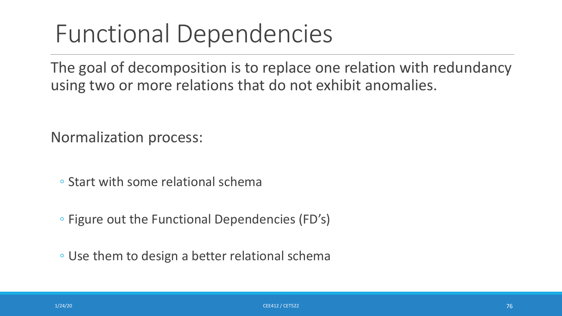### Functional Dependencies

The goal of decomposition is to replace one relation with redundancy using two or more relations that do not exhibit anomalies.

Normalization process:

◦ Start with some relational schema

◦ Figure out the Functional Dependencies (FD's)

◦ Use them to design a better relational schema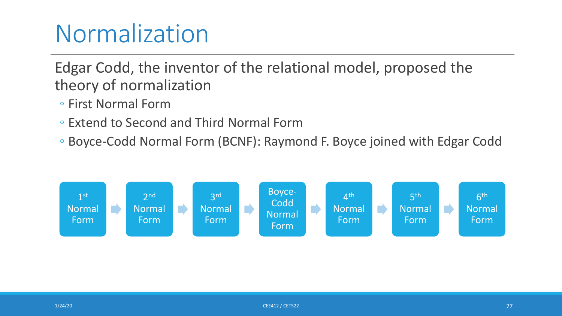## Normalization

Edgar Codd, the inventor of the relational model, proposed the theory of normalization

- First Normal Form
- Extend to Second and Third Normal Form
- Boyce-Codd Normal Form (BCNF): Raymond F. Boyce joined with Edgar Codd

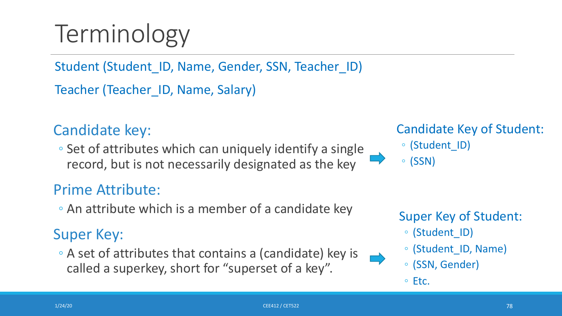# Terminology

Student (Student\_ID, Name, Gender, SSN, Teacher\_ID)

Teacher (Teacher ID, Name, Salary)

### Candidate key:

◦ Set of attributes which can uniquely identify a single record, but is not necessarily designated as the key

### Prime Attribute:

◦ An attribute which is a member of a candidate key

#### Super Key:

◦ A set of attributes that contains a (candidate) key is called a superkey, short for "superset of a key".

Candidate Key of Student:

- (Student\_ID)
- (SSN)

### Super Key of Student:

- (Student\_ID)
- (Student\_ID, Name)
- (SSN, Gender)
- Etc.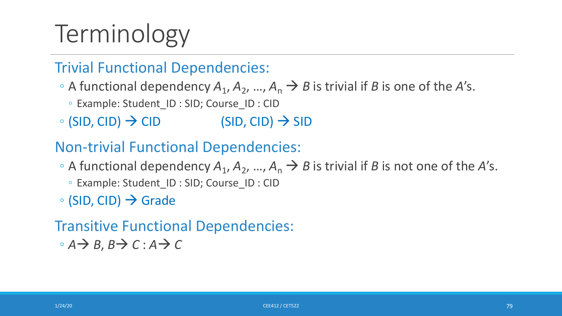# Terminology

### Trivial Functional Dependencies:

- $\circ$  A functional dependency  $A_1$ ,  $A_2$ , ...,  $A_n \rightarrow B$  is trivial if *B* is one of the *A*'s.
	- Example: Student\_ID : SID; Course\_ID : CID
- $\circ$  (SID, CID)  $\rightarrow$  CID (SID, CID)  $\rightarrow$  SID

#### Non-trivial Functional Dependencies:

- $\circ$  A functional dependency  $A_1$ ,  $A_2$ , ...,  $A_n \rightarrow B$  is trivial if *B* is not one of the *A*'s.
	- Example: Student\_ID : SID; Course\_ID : CID
- $\circ$  (SID, CID)  $\rightarrow$  Grade

#### Transitive Functional Dependencies: ◦  $A$  $\rightarrow$   $B$ ,  $B$  $\rightarrow$   $C$  :  $A$  $\rightarrow$   $C$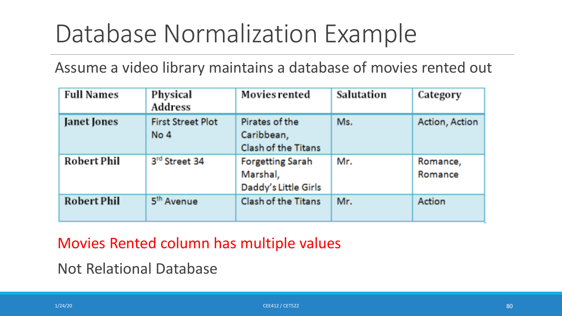## Database Normalization Example

Assume a video library maintains a database of movies rented out

| <b>Full Names</b>  | Physical<br>Address              | Movies rented                                               | Salutation | Category            |
|--------------------|----------------------------------|-------------------------------------------------------------|------------|---------------------|
| Janet Jones        | <b>First Street Plot</b><br>No 4 | Pirates of the<br>Caribbean,<br>Clash of the Titans         | Ms.        | Action, Action      |
| <b>Robert Phil</b> | 3rd Street 34                    | <b>Forgetting Sarah</b><br>Marshal,<br>Daddy's Little Girls | Mr.        | Romance,<br>Romance |
| <b>Robert Phil</b> | 5 <sup>th</sup> Avenue           | <b>Clash of the Titans</b>                                  | Mr.        | Action              |

Movies Rented column has multiple values

Not Relational Database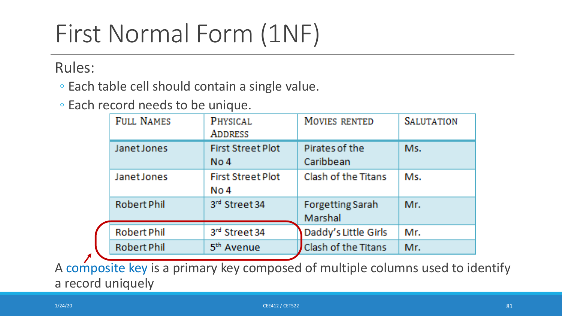# First Normal Form (1NF)

Rules:

◦ Each table cell should contain a single value.

◦ Each record needs to be unique.

| <b>FULL NAMES</b>  | PHYSICAL<br><b>ADDRESS</b>       | MOVIES RENTED                      | <b>SALUTATION</b> |
|--------------------|----------------------------------|------------------------------------|-------------------|
| Janet Jones        | <b>First Street Plot</b><br>No 4 | Pirates of the<br>Caribbean        | Ms.               |
| Janet Jones        | <b>First Street Plot</b><br>No 4 | Clash of the Titans                | Ms.               |
| <b>Robert Phil</b> | 3rd Street 34                    | <b>Forgetting Sarah</b><br>Marshal | Mr.               |
| <b>Robert Phil</b> | 3rd Street 34                    | Daddy's Little Girls               | Mr.               |
| <b>Robert Phil</b> | 5 <sup>th</sup> Avenue           | Clash of the Titans                | Mr.               |

A composite key is a primary key composed of multiple columns used to identify a record uniquely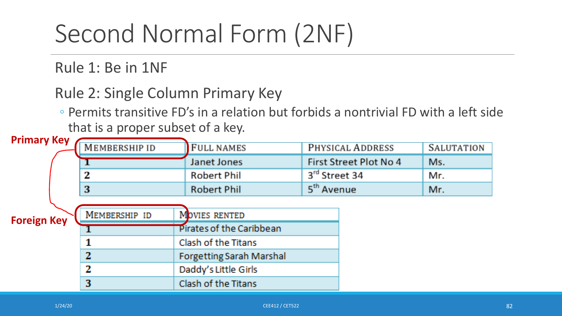# Second Normal Form (2NF)

Rule 1: Be in 1NF

Rule 2: Single Column Primary Key

◦ Permits transitive FD's in a relation but forbids a nontrivial FD with a left side that is a proper subset of a key.

| <b>Primary Key</b> |               |                                 |                        |                   |
|--------------------|---------------|---------------------------------|------------------------|-------------------|
|                    | MEMBERSHIP ID | <b>FULL NAMES</b>               | PHYSICAL ADDRESS       | <b>SALUTATION</b> |
|                    |               | Janet Jones                     | First Street Plot No 4 | Ms.               |
|                    | 2             | <b>Robert Phil</b>              | 3rd Street 34          | Mr.               |
|                    | 3             | <b>Robert Phil</b>              | 5 <sup>th</sup> Avenue | Mr.               |
|                    |               |                                 |                        |                   |
| <b>Foreign Key</b> | MEMBERSHIP ID | MOVIES RENTED                   |                        |                   |
|                    |               | Pirates of the Caribbean        |                        |                   |
|                    |               | Clash of the Titans             |                        |                   |
|                    | 2             | <b>Forgetting Sarah Marshal</b> |                        |                   |
|                    | 2             | Daddy's Little Girls            |                        |                   |
|                    | 3             | Clash of the Titans             |                        |                   |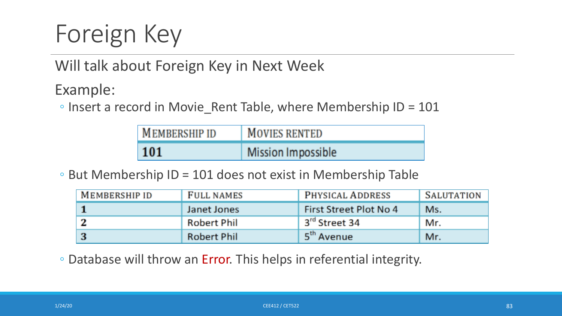# Foreign Key

Will talk about Foreign Key in Next Week

Example:

◦ Insert a record in Movie\_Rent Table, where Membership ID = 101

| <b>MEMBERSHIP ID</b> | <b>MOVIES RENTED</b> |
|----------------------|----------------------|
| 101                  | Mission Impossible   |

◦ But Membership ID = 101 does not exist in Membership Table

| MEMBERSHIP ID | FULL NAMES         | PHYSICAL ADDRESS       | SALUTATION |
|---------------|--------------------|------------------------|------------|
|               | Janet Jones        | First Street Plot No 4 | Ms.        |
|               | Robert Phil        | 3rd Street 34          | Mr.        |
| -3            | <b>Robert Phil</b> | 5 <sup>th</sup> Avenue | Mr.        |

◦ Database will throw an Error. This helps in referential integrity.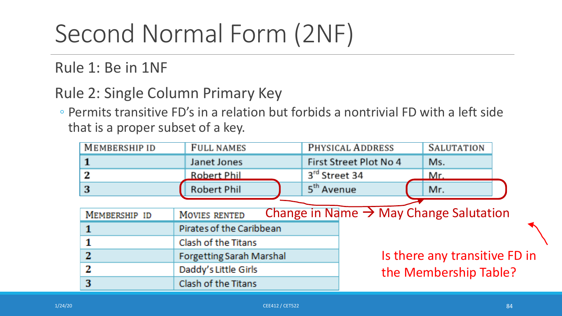# Second Normal Form (2NF)

#### Rule 1: Be in 1NF

#### Rule 2: Single Column Primary Key

◦ Permits transitive FD's in a relation but forbids a nontrivial FD with a left side that is a proper subset of a key.

| MEMBERSHIP ID | <b>FULL NAMES</b>               | PHYSICAL ADDRESS                                   | <b>SALUTATION</b>             |  |
|---------------|---------------------------------|----------------------------------------------------|-------------------------------|--|
|               | Janet Jones                     | First Street Plot No 4                             | Ms.                           |  |
| 2             | <b>Robert Phil</b>              | 3rd Street 34                                      | Mr.                           |  |
| 3             | <b>Robert Phil</b>              | 5 <sup>th</sup> Avenue                             | Mr.                           |  |
|               |                                 |                                                    |                               |  |
| MEMBERSHIP ID | MOVIES RENTED                   | Change in Name $\rightarrow$ May Change Salutation |                               |  |
|               | Pirates of the Caribbean        |                                                    |                               |  |
|               | Clash of the Titans             |                                                    |                               |  |
| 2             | <b>Forgetting Sarah Marshal</b> |                                                    | Is there any transitive FD in |  |
| 2             | Daddy's Little Girls            |                                                    | the Membership Table?         |  |
| 3             | Clash of the Titans             |                                                    |                               |  |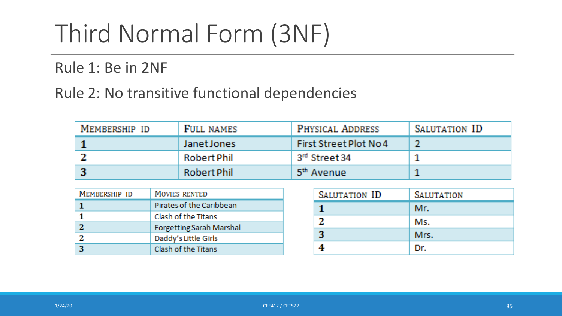# Third Normal Form (3NF)

Rule 1: Be in 2NF

Rule 2: No transitive functional dependencies

| MEMBERSHIP ID | FULL NAMES  | PHYSICAL ADDRESS          | SALUTATION ID |
|---------------|-------------|---------------------------|---------------|
|               | Janet Jones | First Street Plot No 4    |               |
|               | Robert Phil | 3 <sup>rd</sup> Street 34 |               |
|               | Robert Phil | 5 <sup>th</sup> Avenue    |               |

| MEMBERSHIP ID | MOVIES RENTED                   |
|---------------|---------------------------------|
|               | Pirates of the Caribbean        |
|               | Clash of the Titans             |
|               | <b>Forgetting Sarah Marshal</b> |
|               | Daddy's Little Girls            |
|               | Clash of the Titans             |

| SALUTATION ID | <b>SALUTATION</b> |
|---------------|-------------------|
|               | Mr.               |
|               | Ms.               |
| 3             | Mrs.              |
|               | Dr.               |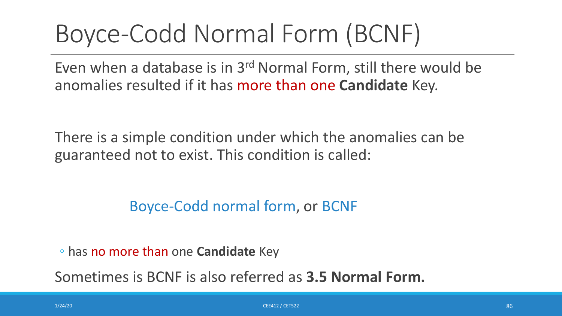## Boyce-Codd Normal Form (BCNF)

Even when a database is in 3rd Normal Form, still there would be anomalies resulted if it has more than one **Candidate** Key.

There is a simple condition under which the anomalies can be guaranteed not to exist. This condition is called:

Boyce-Codd normal form, or BCNF

◦ has no more than one **Candidate** Key

Sometimes is BCNF is also referred as **3.5 Normal Form.**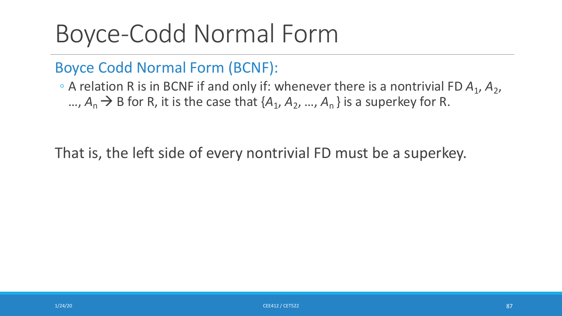## Boyce-Codd Normal Form

Boyce Codd Normal Form (BCNF):

◦ A relation R is in BCNF if and only if: whenever there is a nontrivial FD *A*1, *A*2, …,  $A_n \rightarrow B$  for R, it is the case that  $\{A_1, A_2, ..., A_n\}$  is a superkey for R.

That is, the left side of every nontrivial FD must be a superkey.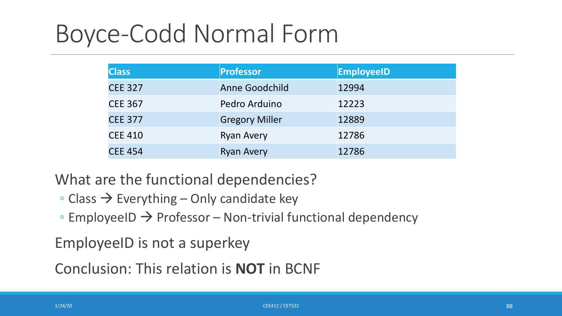## Boyce-Codd Normal Form

| <b>Class</b>   | Professor             | <b>EmployeeID</b> |
|----------------|-----------------------|-------------------|
| <b>CEE 327</b> | Anne Goodchild        | 12994             |
| <b>CEE 367</b> | Pedro Arduino         | 12223             |
| <b>CEE 377</b> | <b>Gregory Miller</b> | 12889             |
| <b>CEE 410</b> | <b>Ryan Avery</b>     | 12786             |
| <b>CEE 454</b> | <b>Ryan Avery</b>     | 12786             |

What are the functional dependencies?

- $\circ$  Class  $\rightarrow$  Everything Only candidate key
- $\circ$  EmployeeID  $\rightarrow$  Professor Non-trivial functional dependency

EmployeeID is not a superkey

Conclusion: This relation is **NOT** in BCNF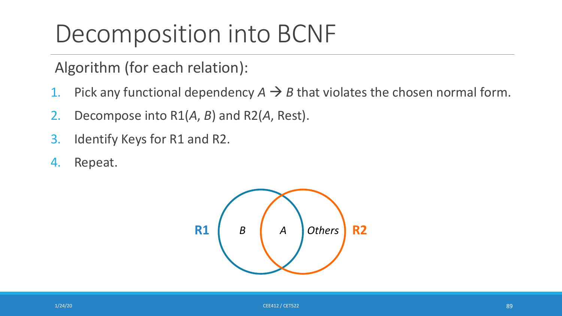Algorithm (for each relation):

- 1. Pick any functional dependency  $A \rightarrow B$  that violates the chosen normal form.
- 2. Decompose into R1(*A*, *B*) and R2(*A*, Rest).
- 3. Identify Keys for R1 and R2.
- 4. Repeat.

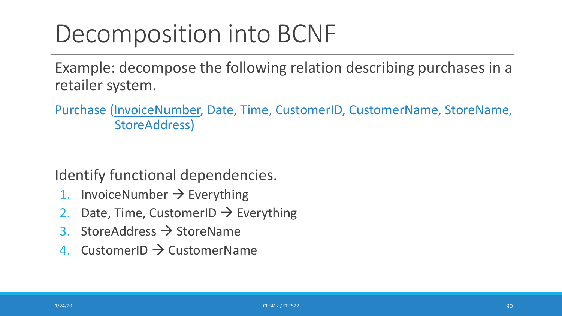Example: decompose the following relation describing purchases in a retailer system.

Purchase (InvoiceNumber, Date, Time, CustomerID, CustomerName, StoreName, StoreAddress)

Identify functional dependencies.

- 1. InvoiceNumber  $\rightarrow$  Everything
- 2. Date, Time, CustomerID  $\rightarrow$  Everything
- 3. StoreAddress  $\rightarrow$  StoreName
- 4. CustomerID  $\rightarrow$  CustomerName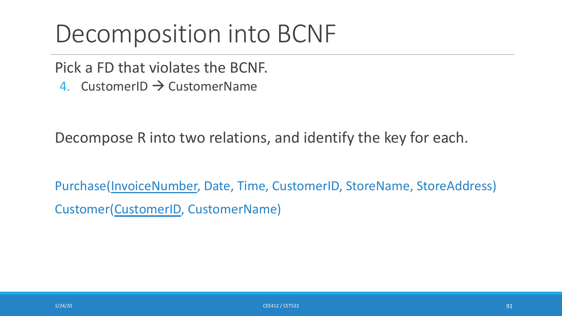Pick a FD that violates the BCNF.

4. CustomerID  $\rightarrow$  CustomerName

Decompose R into two relations, and identify the key for each.

Purchase(InvoiceNumber, Date, Time, CustomerID, StoreName, StoreAddress) Customer(CustomerID, CustomerName)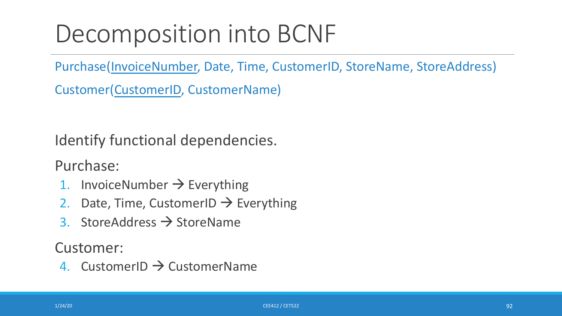Purchase(InvoiceNumber, Date, Time, CustomerID, StoreName, StoreAddress)

Customer(CustomerID, CustomerName)

Identify functional dependencies.

Purchase:

- 1. InvoiceNumber  $\rightarrow$  Everything
- 2. Date, Time, CustomerID  $\rightarrow$  Everything
- 3. StoreAddress  $\rightarrow$  StoreName

Customer:

4. CustomerID  $\rightarrow$  CustomerName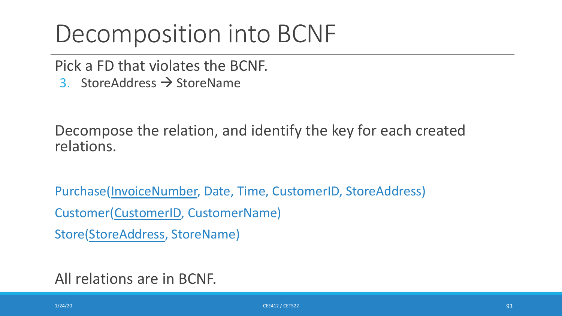Pick a FD that violates the BCNF.

3. StoreAddress  $\rightarrow$  StoreName

Decompose the relation, and identify the key for each created relations.

Purchase(InvoiceNumber, Date, Time, CustomerID, StoreAddress) Customer(CustomerID, CustomerName) Store(StoreAddress, StoreName)

All relations are in BCNF.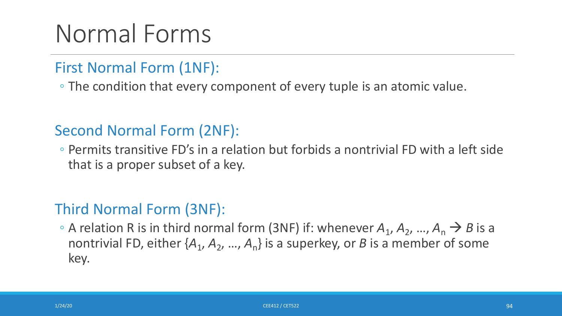## Normal Forms

#### First Normal Form (1NF):

◦ The condition that every component of every tuple is an atomic value.

### Second Normal Form (2NF):

◦ Permits transitive FD's in a relation but forbids a nontrivial FD with a left side that is a proper subset of a key.

### Third Normal Form (3NF):

• A relation R is in third normal form (3NF) if: whenever  $A_1$ ,  $A_2$ , ...,  $A_n \rightarrow B$  is a nontrivial FD, either  $\{A_1, A_2, ..., A_n\}$  is a superkey, or *B* is a member of some key.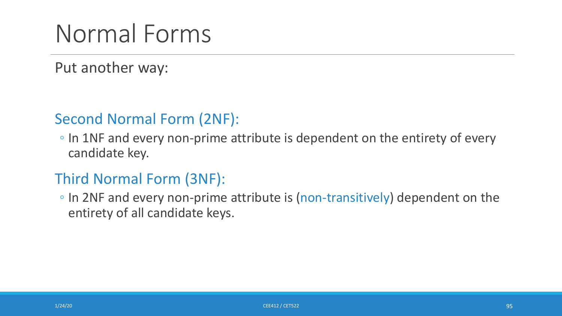## Normal Forms

Put another way:

### Second Normal Form (2NF):

◦ In 1NF and every non-prime attribute is dependent on the entirety of every candidate key.

### Third Normal Form (3NF):

◦ In 2NF and every non-prime attribute is (non-transitively) dependent on the entirety of all candidate keys.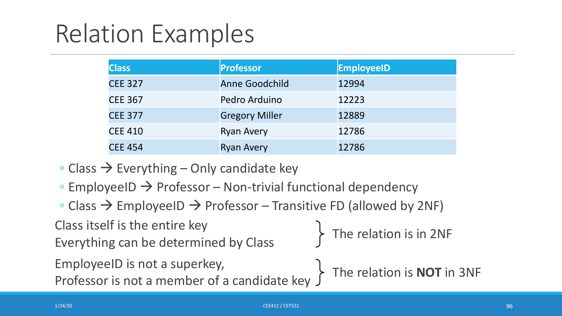| <b>Class</b>   | Professor             | <b>EmployeeID</b> |
|----------------|-----------------------|-------------------|
| <b>CEE 327</b> | <b>Anne Goodchild</b> | 12994             |
| <b>CEE 367</b> | Pedro Arduino         | 12223             |
| <b>CEE 377</b> | <b>Gregory Miller</b> | 12889             |
| <b>CEE 410</b> | <b>Ryan Avery</b>     | 12786             |
| <b>CEE 454</b> | <b>Ryan Avery</b>     | 12786             |

- $\circ$  Class  $\rightarrow$  Everything Only candidate key
- $\circ$  EmployeeID  $\rightarrow$  Professor Non-trivial functional dependency
- $\circ$  Class  $\rightarrow$  EmployeeID  $\rightarrow$  Professor Transitive FD (allowed by 2NF)

EmployeeID is not a superkey, Class itself is the entire key Class itself is the entire key<br>Everything can be determined by Class<br>The relation is in 2NF

Professor is not a member of a candidate key The relation is **NOT** in 3NF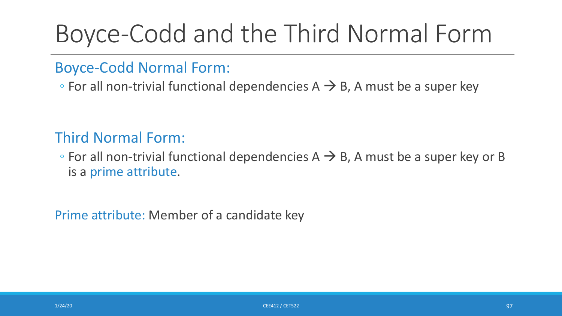## Boyce-Codd and the Third Normal Form

#### Boyce-Codd Normal Form:

• For all non-trivial functional dependencies  $A \rightarrow B$ , A must be a super key

### Third Normal Form:

 $\circ$  For all non-trivial functional dependencies A  $\rightarrow$  B, A must be a super key or B is a prime attribute.

Prime attribute: Member of a candidate key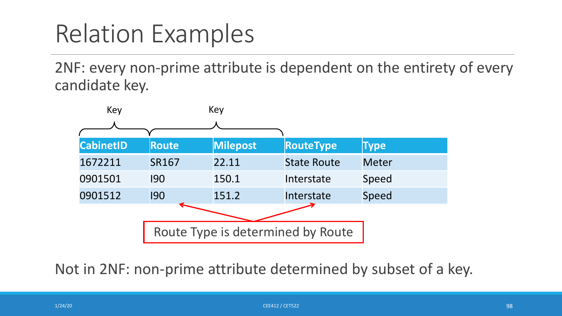2NF: every non-prime attribute is dependent on the entirety of every candidate key.



Not in 2NF: non-prime attribute determined by subset of a key.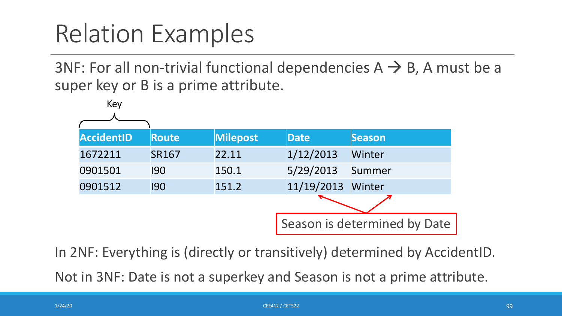3NF: For all non-trivial functional dependencies  $A \rightarrow B$ , A must be a super key or B is a prime attribute.



In 2NF: Everything is (directly or transitively) determined by AccidentID.

Not in 3NF: Date is not a superkey and Season is not a prime attribute.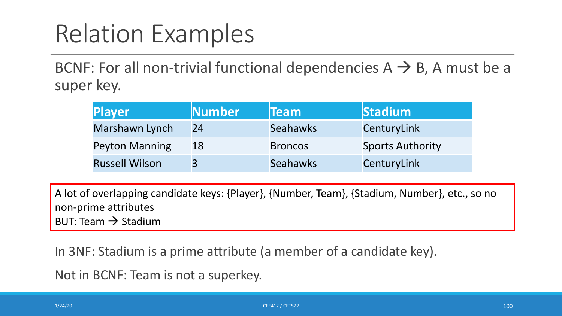BCNF: For all non-trivial functional dependencies  $A \rightarrow B$ , A must be a super key.

| <b>Player</b>         | Number | <b>Team</b>     | <b>Stadium</b>          |
|-----------------------|--------|-----------------|-------------------------|
| Marshawn Lynch        | 24     | <b>Seahawks</b> | CenturyLink             |
| <b>Peyton Manning</b> | 18     | <b>Broncos</b>  | <b>Sports Authority</b> |
| <b>Russell Wilson</b> | 3      | <b>Seahawks</b> | CenturyLink             |

A lot of overlapping candidate keys: {Player}, {Number, Team}, {Stadium, Number}, etc., so no non-prime attributes BUT: Team  $\rightarrow$  Stadium

In 3NF: Stadium is a prime attribute (a member of a candidate key).

Not in BCNF: Team is not a superkey.